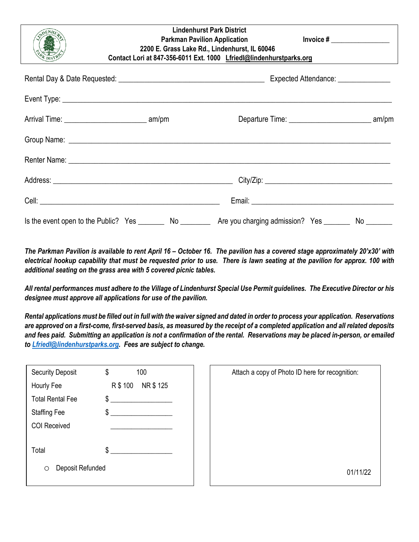| <b>Lindenhurst Park District</b><br><b>Parkman Pavilion Application</b><br>2200 E. Grass Lake Rd., Lindenhurst, IL 60046<br>Contact Lori at 847-356-6011 Ext. 1000 Lfriedl@lindenhurstparks.org |  | Invoice $\#$ ___________________ |
|-------------------------------------------------------------------------------------------------------------------------------------------------------------------------------------------------|--|----------------------------------|
|                                                                                                                                                                                                 |  |                                  |
|                                                                                                                                                                                                 |  |                                  |
|                                                                                                                                                                                                 |  |                                  |
|                                                                                                                                                                                                 |  |                                  |
|                                                                                                                                                                                                 |  |                                  |
|                                                                                                                                                                                                 |  |                                  |
|                                                                                                                                                                                                 |  |                                  |
|                                                                                                                                                                                                 |  |                                  |
|                                                                                                                                                                                                 |  |                                  |

*The Parkman Pavilion is available to rent April 16 – October 16. The pavilion has a covered stage approximately 20'x30' with electrical hookup capability that must be requested prior to use. There is lawn seating at the pavilion for approx. 100 with additional seating on the grass area with 5 covered picnic tables.* 

*All rental performances must adhere to the Village of Lindenhurst Special Use Permit guidelines. The Executive Director or his designee must approve all applications for use of the pavilion.* 

*Rental applications must be filled out in full with the waiver signed and dated in order to process your application. Reservations are approved on a first-come, first-served basis, as measured by the receipt of a completed application and all related deposits and fees paid. Submitting an application is not a confirmation of the rental. Reservations may be placed in-person, or emailed to [Lfriedl@lindenhurstparks.org.](mailto:Lfriedl@lindenhurstparks.org) Fees are subject to change.* 

| <b>Security Deposit</b>     | 100<br>\$         | Attach a copy of Photo ID here for recognition: |
|-----------------------------|-------------------|-------------------------------------------------|
| Hourly Fee                  | NR\$125<br>R\$100 |                                                 |
| <b>Total Rental Fee</b>     | \$                |                                                 |
| <b>Staffing Fee</b>         | \$                |                                                 |
| COI Received                |                   |                                                 |
| Total                       | \$                |                                                 |
| Deposit Refunded<br>$\circ$ |                   | 01/11/22                                        |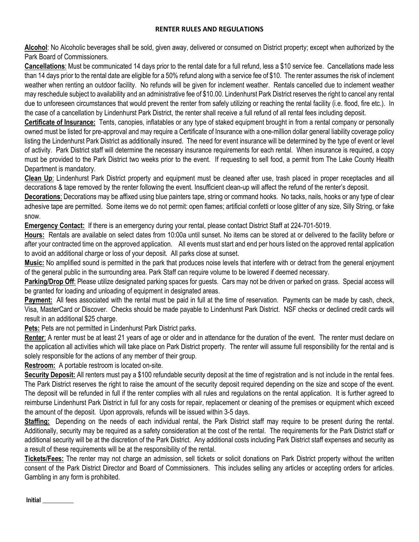## **RENTER RULES AND REGULATIONS**

**Alcohol**: No Alcoholic beverages shall be sold, given away, delivered or consumed on District property; except when authorized by the Park Board of Commissioners.

**Cancellations**: Must be communicated 14 days prior to the rental date for a full refund, less a \$10 service fee. Cancellations made less than 14 days prior to the rental date are eligible for a 50% refund along with a service fee of \$10. The renter assumes the risk of inclement weather when renting an outdoor facility. No refunds will be given for inclement weather. Rentals cancelled due to inclement weather may reschedule subject to availability and an administrative fee of \$10.00. Lindenhurst Park District reserves the right to cancel any rental due to unforeseen circumstances that would prevent the renter from safely utilizing or reaching the rental facility (i.e. flood, fire etc.). In the case of a cancellation by Lindenhurst Park District, the renter shall receive a full refund of all rental fees including deposit.

**Certificate of Insurance:** Tents, canopies, inflatables or any type of staked equipment brought in from a rental company or personally owned must be listed for pre-approval and may require a Certificate of Insurance with a one-million dollar general liability coverage policy listing the Lindenhurst Park District as additionally insured. The need for event insurance will be determined by the type of event or level of activity. Park District staff will determine the necessary insurance requirements for each rental. When insurance is required, a copy must be provided to the Park District two weeks prior to the event. If requesting to sell food, a permit from The Lake County Health Department is mandatory.

**Clean Up**: Lindenhurst Park District property and equipment must be cleaned after use, trash placed in proper receptacles and all decorations & tape removed by the renter following the event. Insufficient clean-up will affect the refund of the renter's deposit.

**Decorations**: Decorations may be affixed using blue painters tape, string or command hooks. No tacks, nails, hooks or any type of clear adhesive tape are permitted. Some items we do not permit: open flames; artificial confetti or loose glitter of any size, Silly String, or fake snow.

**Emergency Contact:** If there is an emergency during your rental, please contact District Staff at 224-701-5019.

**Hours:** Rentals are available on select dates from 10:00a until sunset. No items can be stored at or delivered to the facility before or after your contracted time on the approved application. All events must start and end per hours listed on the approved rental application to avoid an additional charge or loss of your deposit. All parks close at sunset.

**Music:** No amplified sound is permitted in the park that produces noise levels that interfere with or detract from the general enjoyment of the general public in the surrounding area. Park Staff can require volume to be lowered if deemed necessary.

**Parking/Drop Off**: Please utilize designated parking spaces for guests. Cars may not be driven or parked on grass. Special access will be granted for loading and unloading of equipment in designated areas.

**Payment:** All fees associated with the rental must be paid in full at the time of reservation. Payments can be made by cash, check, Visa, MasterCard or Discover. Checks should be made payable to Lindenhurst Park District. NSF checks or declined credit cards will result in an additional \$25 charge.

**Pets:** Pets are not permitted in Lindenhurst Park District parks.

**Renter**: A renter must be at least 21 years of age or older and in attendance for the duration of the event. The renter must declare on the application all activities which will take place on Park District property. The renter will assume full responsibility for the rental and is solely responsible for the actions of any member of their group.

**Restroom:** A portable restroom is located on-site.

**Security Deposit:** All renters must pay a \$100 refundable security deposit at the time of registration and is not include in the rental fees. The Park District reserves the right to raise the amount of the security deposit required depending on the size and scope of the event. The deposit will be refunded in full if the renter complies with all rules and regulations on the rental application. It is further agreed to reimburse Lindenhurst Park District in full for any costs for repair, replacement or cleaning of the premises or equipment which exceed the amount of the deposit. Upon approvals, refunds will be issued within 3-5 days.

**Staffing:** Depending on the needs of each individual rental, the Park District staff may require to be present during the rental. Additionally, security may be required as a safety consideration at the cost of the rental. The requirements for the Park District staff or additional security will be at the discretion of the Park District. Any additional costs including Park District staff expenses and security as a result of these requirements will be at the responsibility of the rental.

**Tickets/Fees:** The renter may not charge an admission, sell tickets or solicit donations on Park District property without the written consent of the Park District Director and Board of Commissioners. This includes selling any articles or accepting orders for articles. Gambling in any form is prohibited.

**Initial \_\_\_\_\_\_\_\_\_\_**